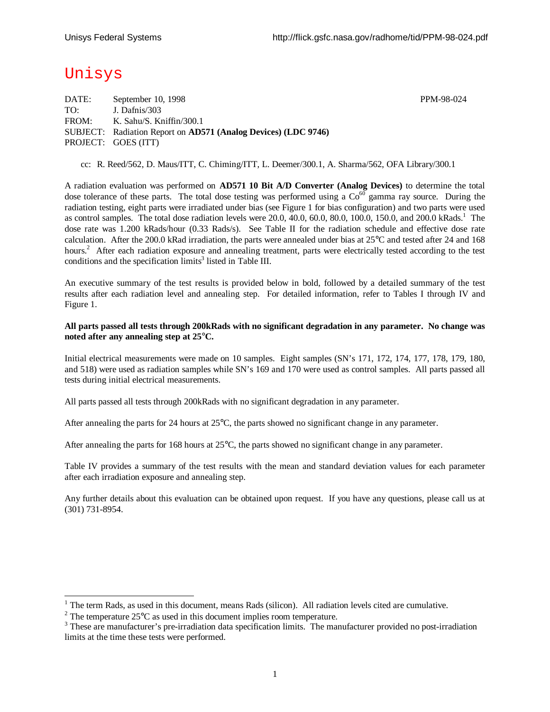# Unisys

l

DATE: September 10, 1998 PPM-98-024 TO: J. Dafnis/303 FROM: K. Sahu/S. Kniffin/300.1 SUBJECT: Radiation Report on **AD571 (Analog Devices) (LDC 9746)** PROJECT: GOES (ITT)

cc: R. Reed/562, D. Maus/ITT, C. Chiming/ITT, L. Deemer/300.1, A. Sharma/562, OFA Library/300.1

A radiation evaluation was performed on **AD571 10 Bit A/D Converter (Analog Devices)** to determine the total dose tolerance of these parts. The total dose testing was performed using a  $Co<sup>60</sup>$  gamma ray source. During the radiation testing, eight parts were irradiated under bias (see Figure 1 for bias configuration) and two parts were used as control samples. The total dose radiation levels were 20.0, 40.0, 60.0, 80.0, 100.0, 150.0, and 200.0 kRads.<sup>1</sup> The dose rate was 1.200 kRads/hour (0.33 Rads/s). See Table II for the radiation schedule and effective dose rate calculation. After the 200.0 kRad irradiation, the parts were annealed under bias at 25°C and tested after 24 and 168 hours.<sup>2</sup> After each radiation exposure and annealing treatment, parts were electrically tested according to the test conditions and the specification limits<sup>3</sup> listed in Table III.

An executive summary of the test results is provided below in bold, followed by a detailed summary of the test results after each radiation level and annealing step. For detailed information, refer to Tables I through IV and Figure 1.

#### **All parts passed all tests through 200kRads with no significant degradation in any parameter. No change was noted after any annealing step at 25°C.**

Initial electrical measurements were made on 10 samples. Eight samples (SN's 171, 172, 174, 177, 178, 179, 180, and 518) were used as radiation samples while SN's 169 and 170 were used as control samples. All parts passed all tests during initial electrical measurements.

All parts passed all tests through 200kRads with no significant degradation in any parameter.

After annealing the parts for 24 hours at 25°C, the parts showed no significant change in any parameter.

After annealing the parts for 168 hours at 25°C, the parts showed no significant change in any parameter.

Table IV provides a summary of the test results with the mean and standard deviation values for each parameter after each irradiation exposure and annealing step.

Any further details about this evaluation can be obtained upon request. If you have any questions, please call us at (301) 731-8954.

 $1$  The term Rads, as used in this document, means Rads (silicon). All radiation levels cited are cumulative.

<sup>&</sup>lt;sup>2</sup> The temperature 25 $^{\circ}$ C as used in this document implies room temperature.

<sup>&</sup>lt;sup>3</sup> These are manufacturer's pre-irradiation data specification limits. The manufacturer provided no post-irradiation limits at the time these tests were performed.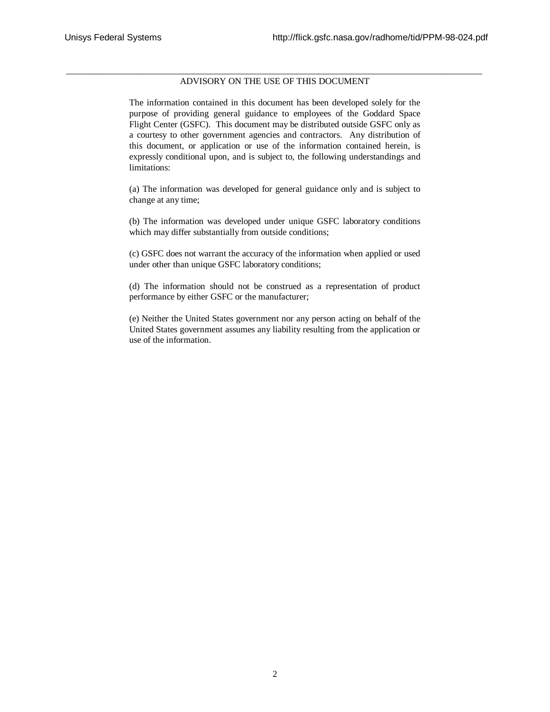#### \_\_\_\_\_\_\_\_\_\_\_\_\_\_\_\_\_\_\_\_\_\_\_\_\_\_\_\_\_\_\_\_\_\_\_\_\_\_\_\_\_\_\_\_\_\_\_\_\_\_\_\_\_\_\_\_\_\_\_\_\_\_\_\_\_\_\_\_\_\_\_\_\_\_\_\_\_\_\_\_\_\_\_\_\_\_\_\_\_\_\_\_ ADVISORY ON THE USE OF THIS DOCUMENT

The information contained in this document has been developed solely for the purpose of providing general guidance to employees of the Goddard Space Flight Center (GSFC). This document may be distributed outside GSFC only as a courtesy to other government agencies and contractors. Any distribution of this document, or application or use of the information contained herein, is expressly conditional upon, and is subject to, the following understandings and limitations:

(a) The information was developed for general guidance only and is subject to change at any time;

(b) The information was developed under unique GSFC laboratory conditions which may differ substantially from outside conditions;

(c) GSFC does not warrant the accuracy of the information when applied or used under other than unique GSFC laboratory conditions;

(d) The information should not be construed as a representation of product performance by either GSFC or the manufacturer;

(e) Neither the United States government nor any person acting on behalf of the United States government assumes any liability resulting from the application or use of the information.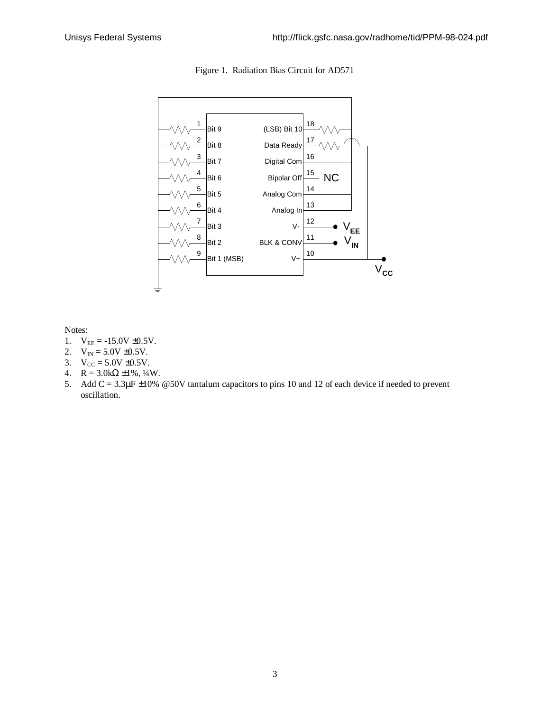

Figure 1. Radiation Bias Circuit for AD571

Notes:

- 1.  $V_{EE} = -15.0V \pm 0.5V$ .
- 2.  $V_{IN} = 5.0V \pm 0.5V$ .
- 3.  $V_{CC} = 5.0V \pm 0.5V$ .
- 4.  $R = 3.0k\Omega \pm 1\%, \frac{1}{4}W$ .
- 5. Add C = 3.3μF ±10% @50V tantalum capacitors to pins 10 and 12 of each device if needed to prevent oscillation.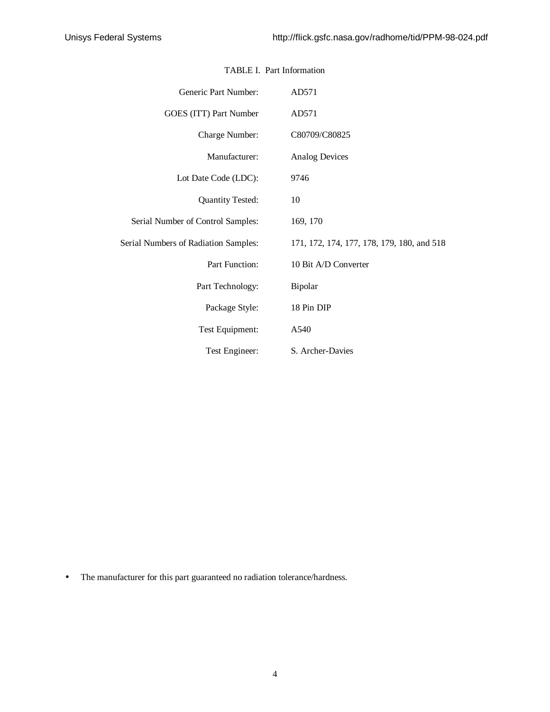| Generic Part Number:                        | AD571                                      |
|---------------------------------------------|--------------------------------------------|
| GOES (ITT) Part Number                      | AD571                                      |
| Charge Number:                              | C80709/C80825                              |
| Manufacturer:                               | <b>Analog Devices</b>                      |
| Lot Date Code (LDC):                        | 9746                                       |
| <b>Quantity Tested:</b>                     | 10                                         |
| Serial Number of Control Samples:           | 169, 170                                   |
| <b>Serial Numbers of Radiation Samples:</b> | 171, 172, 174, 177, 178, 179, 180, and 518 |
| Part Function:                              | 10 Bit A/D Converter                       |
| Part Technology:                            | Bipolar                                    |
| Package Style:                              | 18 Pin DIP                                 |
| Test Equipment:                             | A540                                       |
| Test Engineer:                              | S. Archer-Davies                           |

### TABLE I. Part Information

• The manufacturer for this part guaranteed no radiation tolerance/hardness.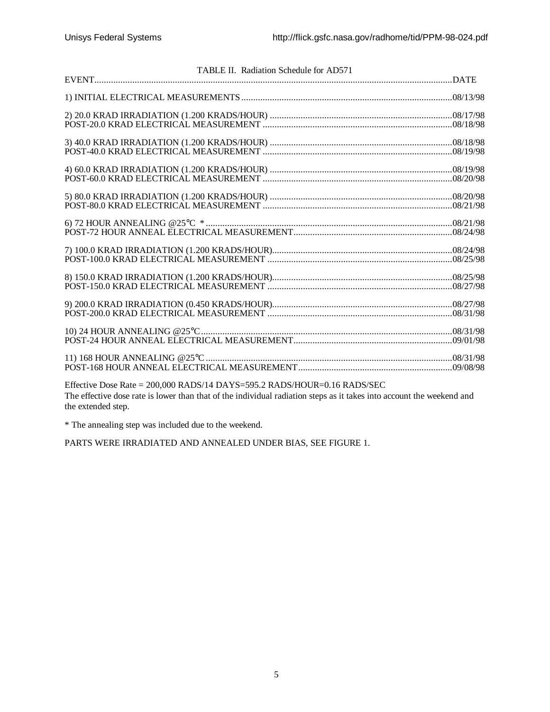| TABLE II. Radiation Schedule for AD571                                                                                                                                                                                                                                                                         |  |
|----------------------------------------------------------------------------------------------------------------------------------------------------------------------------------------------------------------------------------------------------------------------------------------------------------------|--|
|                                                                                                                                                                                                                                                                                                                |  |
|                                                                                                                                                                                                                                                                                                                |  |
|                                                                                                                                                                                                                                                                                                                |  |
|                                                                                                                                                                                                                                                                                                                |  |
|                                                                                                                                                                                                                                                                                                                |  |
|                                                                                                                                                                                                                                                                                                                |  |
|                                                                                                                                                                                                                                                                                                                |  |
|                                                                                                                                                                                                                                                                                                                |  |
|                                                                                                                                                                                                                                                                                                                |  |
|                                                                                                                                                                                                                                                                                                                |  |
|                                                                                                                                                                                                                                                                                                                |  |
|                                                                                                                                                                                                                                                                                                                |  |
| $E_{\rm{tot}}^{\rm{tot}}$ , $\mu_{\rm{tot}}$ , $D_{\rm{tot}}$ , $D_{\rm{tot}}$ , $D_{\rm{0.000}}$ , $D_{\rm{A}}$ , $D_{\rm{0.100}}^{\rm{tot}}$ , $D_{\rm{0.000}}$ , $D_{\rm{0.000}}$ , $D_{\rm{0.000}}$ , $D_{\rm{0.000}}$ , $D_{\rm{0.000}}$ , $D_{\rm{0.000}}$ , $D_{\rm{0.000}}$ , $D_{\rm{0.000}}$ , $D_{$ |  |

Effective Dose Rate = 200,000 RADS/14 DAYS=595.2 RADS/HOUR=0.16 RADS/SEC The effective dose rate is lower than that of the individual radiation steps as it takes into account the weekend and the extended step.

\* The annealing step was included due to the weekend.

PARTS WERE IRRADIATED AND ANNEALED UNDER BIAS, SEE FIGURE 1.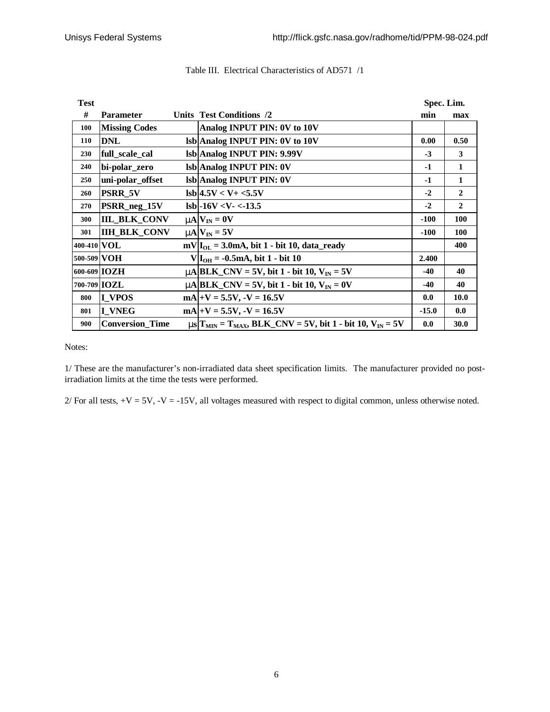| <b>Test</b>  |                        |                                                                                                      | Spec. Lim. |              |  |  |
|--------------|------------------------|------------------------------------------------------------------------------------------------------|------------|--------------|--|--|
| #            | <b>Parameter</b>       | Units Test Conditions /2                                                                             | min        | max          |  |  |
| 100          | <b>Missing Codes</b>   | Analog INPUT PIN: 0V to 10V                                                                          |            |              |  |  |
| 110          | <b>DNL</b>             | lsb Analog INPUT PIN: 0V to 10V                                                                      | 0.00       | 0.50         |  |  |
| 230          | full_scale_cal         | lsb Analog INPUT PIN: 9.99V                                                                          | $-3$       | 3            |  |  |
| 240          | bi-polar_zero          | <b>Isb</b> Analog <b>INPUT</b> PIN: 0V                                                               | $-1$       | 1            |  |  |
| 250          | uni-polar_offset       | Isb Analog INPUT PIN: 0V                                                                             | $-1$       | 1            |  |  |
| 260          | <b>PSRR 5V</b>         | $\text{lsb}$  4.5V < V + <5.5V                                                                       | $-2$       | $\mathbf{2}$ |  |  |
| 270          | PSRR_neg_15V           | $\text{lsb}$ -16V <v- <-13.5<="" td=""><td><math>-2</math></td><td><math>\mathbf{2}</math></td></v-> | $-2$       | $\mathbf{2}$ |  |  |
| 300          | <b>IIL_BLK_CONV</b>    | $mN_{\text{IN}} = 0V$                                                                                | $-100$     | 100          |  |  |
| 301          | <b>IIH BLK CONV</b>    | $mN_{\text{IN}} = 5V$                                                                                | $-100$     | 100          |  |  |
| 400-410 VOL  |                        | $mV I_{OL} = 3.0mA$ , bit 1 - bit 10, data_ready                                                     |            | 400          |  |  |
| 500-509 VOH  |                        | $V I_{OH} = -0.5mA$ , bit 1 - bit 10                                                                 | 2.400      |              |  |  |
| 600-609 IOZH |                        | $mA BLK_CNV = 5V$ , bit 1 - bit 10, $V_{IN} = 5V$                                                    | $-40$      | 40           |  |  |
| 700-709 IOZL |                        | $m\text{A}$ BLK CNV = 5V, bit 1 - bit 10, V <sub>IN</sub> = 0V                                       | $-40$      | 40           |  |  |
| 800          | <b>I_VPOS</b>          | $mA +V = 5.5V, -V = 16.5V$                                                                           | 0.0        | 10.0         |  |  |
| 801          | I VNEG                 | $mA +V = 5.5V, -V = 16.5V$                                                                           | $-15.0$    | 0.0          |  |  |
| 900          | <b>Conversion_Time</b> | $\text{ms}$ $T_{\text{MIN}} = T_{\text{MAX}}$ , BLK_CNV = 5V, bit 1 - bit 10, V <sub>IN</sub> = 5V   | 0.0        | 30.0         |  |  |

#### Table III. Electrical Characteristics of AD571 /1

Notes:

1/ These are the manufacturer's non-irradiated data sheet specification limits. The manufacturer provided no postirradiation limits at the time the tests were performed.

 $2/$  For all tests,  $+V = 5V$ ,  $-V = -15V$ , all voltages measured with respect to digital common, unless otherwise noted.